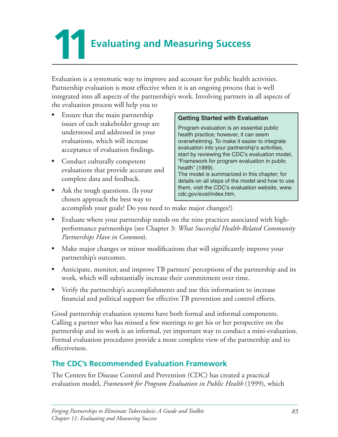**Evaluating and Measuring Success** 

Evaluation is a systematic way to improve and account for public health activities. Partnership evaluation is most effective when it is an ongoing process that is well integrated into all aspects of the partnership's work. Involving partners in all aspects of the evaluation process will help you to

- Ensure that the main partnership issues of each stakeholder group are understood and addressed in your evaluations, which will increase acceptance of evaluation findings.
- Conduct culturally competent evaluations that provide accurate and complete data and feedback.

#### **Getting Started with Evaluation**

Program evaluation is an essential public health practice; however, it can seem overwhelming. To make it easier to integrate evaluation into your partnership's activities, start by reviewing the CDC's evaluation model, "Framework for program evaluation in public health" (1999). The model is summarized in this chapter; for details on all steps of the model and how to use them, visit the CDC's evaluation website, www.

- Ask the tough questions. (Is your chosen approach the best way to cdc.gov/eval/index.htm. accomplish your goals? Do you need to make major changes?)
- Evaluate where your partnership stands on the nine practices associated with highperformance partnerships (see Chapter 3: *What Successful Health-Related Community Partnerships Have in Common*).
- Make major changes or minor modifications that will significantly improve your partnership's outcomes.
- Anticipate, monitor, and improve TB partners' perceptions of the partnership and its work, which will substantially increase their commitment over time.
- Verify the partnership's accomplishments and use this information to increase financial and political support for effective TB prevention and control efforts.

Good partnership evaluation systems have both formal and informal components. Calling a partner who has missed a few meetings to get his or her perspective on the partnership and its work is an informal, yet important way to conduct a mini-evaluation. Formal evaluation procedures provide a more complete view of the partnership and its effectiveness. 

## **The CDC's Recommended Evaluation Framework**

The Centers for Disease Control and Prevention (CDC) has created a practical evaluation model, *Framework for Program Evaluation in Public Health* (1999), which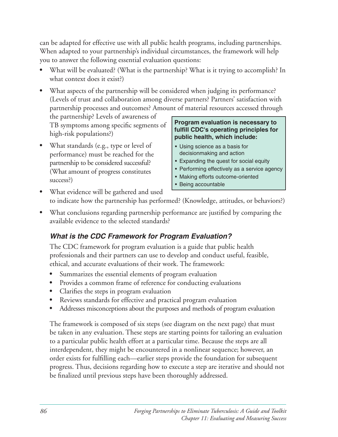can be adapted for effective use with all public health programs, including partnerships. When adapted to your partnership's individual circumstances, the framework will help you to answer the following essential evaluation questions:

- What will be evaluated? (What is the partnership? What is it trying to accomplish? In what context does it exist?)
- What aspects of the partnership will be considered when judging its performance? (Levels of trust and collaboration among diverse partners? Partners' satisfaction with partnership processes and outcomes? Amount of material resources accessed through

the partnership? Levels of awareness of<br>TB symptoms among specific segments of<br>high-risk populations?)<br>public health, which include:

What standards (e.g., type or level of  $\bullet$  Using science as a basis for performance) must be reached for the decisionmaking and action<br>
partnership to be considered successful?<br>
Expanding the quest for social equity partnership to be considered successful?<br>
Performing effectively as a service agency<br> **•** Performing effectively as a service agency (What amount of progress constitutes • Making efforts outcome-oriented success?) 

- 
- 
- 
- 
- Being accountable
- What evidence will be gathered and used to indicate how the partnership has performed? (Knowledge, attitudes, or behaviors?)
- What conclusions regarding partnership performance are justified by comparing the available evidence to the selected standards?

# *What is the CDC Framework for Program Evaluation?*

The CDC framework for program evaluation is a guide that public health professionals and their partners can use to develop and conduct useful, feasible, ethical, and accurate evaluations of their work. The framework:

- Summarizes the essential elements of program evaluation
- Provides a common frame of reference for conducting evaluations
- Clarifies the steps in program evaluation
- Reviews standards for effective and practical program evaluation
- Addresses misconceptions about the purposes and methods of program evaluation

The framework is composed of six steps (see diagram on the next page) that must be taken in any evaluation. These steps are starting points for tailoring an evaluation to a particular public health effort at a particular time. Because the steps are all interdependent, they might be encountered in a nonlinear sequence; however, an order exists for fulfilling each—earlier steps provide the foundation for subsequent progress. Thus, decisions regarding how to execute a step are iterative and should not be finalized until previous steps have been thoroughly addressed.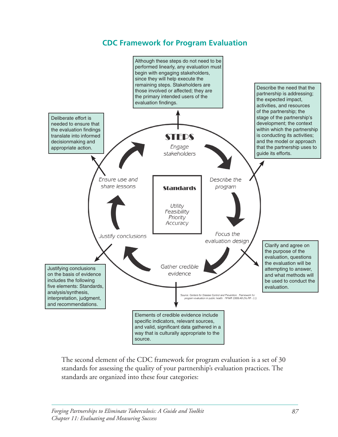## **CDC Framework for Program Evaluation**



The second element of the CDC framework for program evaluation is a set of 30 standards for assessing the quality of your partnership's evaluation practices. The standards are organized into these four categories: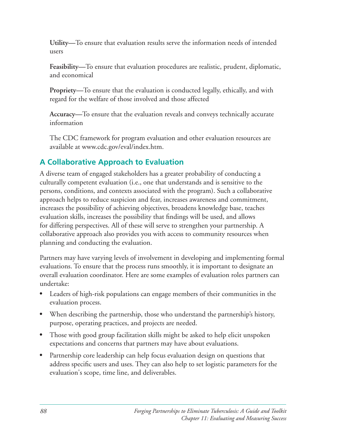Utility—To ensure that evaluation results serve the information needs of intended users 

Feasibility—To ensure that evaluation procedures are realistic, prudent, diplomatic, and economical

**Propriety—**To ensure that the evaluation is conducted legally, ethically, and with regard for the welfare of those involved and those affected

**Accuracy—**To ensure that the evaluation reveals and conveys technically accurate information

The CDC framework for program evaluation and other evaluation resources are available at www.cdc.gov/eval/index.htm.

# **A Collaborative Approach to Evaluation**

A diverse team of engaged stakeholders has a greater probability of conducting a culturally competent evaluation (i.e., one that understands and is sensitive to the persons, conditions, and contexts associated with the program). Such a collaborative approach helps to reduce suspicion and fear, increases awareness and commitment, increases the possibility of achieving objectives, broadens knowledge base, teaches evaluation skills, increases the possibility that findings will be used, and allows for differing perspectives. All of these will serve to strengthen your partnership. A collaborative approach also provides you with access to community resources when planning and conducting the evaluation.

Partners may have varying levels of involvement in developing and implementing formal evaluations. To ensure that the process runs smoothly, it is important to designate an overall evaluation coordinator. Here are some examples of evaluation roles partners can undertake: 

- Leaders of high-risk populations can engage members of their communities in the evaluation process.
- When describing the partnership, those who understand the partnership's history, purpose, operating practices, and projects are needed.
- Those with good group facilitation skills might be asked to help elicit unspoken expectations and concerns that partners may have about evaluations.
- Partnership core leadership can help focus evaluation design on questions that address specific users and uses. They can also help to set logistic parameters for the evaluation's scope, time line, and deliverables.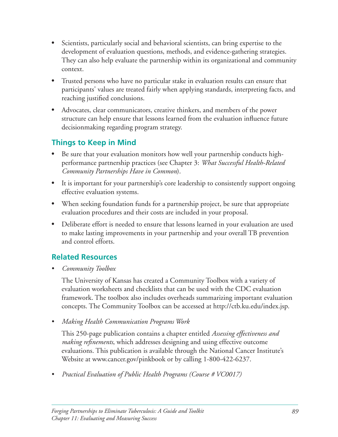- Scientists, particularly social and behavioral scientists, can bring expertise to the development of evaluation questions, methods, and evidence-gathering strategies. They can also help evaluate the partnership within its organizational and community context.
- Trusted persons who have no particular stake in evaluation results can ensure that participants' values are treated fairly when applying standards, interpreting facts, and reaching justified conclusions.
- Advocates, clear communicators, creative thinkers, and members of the power structure can help ensure that lessons learned from the evaluation influence future decisionmaking regarding program strategy.

# **Things to Keep in Mind**

- Be sure that your evaluation monitors how well your partnership conducts highperformance partnership practices (see Chapter 3: *What Successful Health-Related Community Partnerships Have in Common*).
- It is important for your partnership's core leadership to consistently support ongoing effective evaluation systems.
- When seeking foundation funds for a partnership project, be sure that appropriate evaluation procedures and their costs are included in your proposal.
- Deliberate effort is needed to ensure that lessons learned in your evaluation are used to make lasting improvements in your partnership and your overall TB prevention and control efforts.

## **Related Resources**

• *Community Toolbox* 

The University of Kansas has created a Community Toolbox with a variety of evaluation worksheets and checklists that can be used with the CDC evaluation framework. The toolbox also includes overheads summarizing important evaluation concepts. The Community Toolbox can be accessed at http://ctb.ku.edu/index.jsp.

• *Making Health Communication Programs Work* 

This 250-page publication contains a chapter entitled *Assessing effectiveness and making refinements*, which addresses designing and using effective outcome evaluations. This publication is available through the National Cancer Institute's Website at www.cancer.gov/pinkbook or by calling 1-800-422-6237.

Practical Evaluation of Public Health Programs (Course # VC0017)